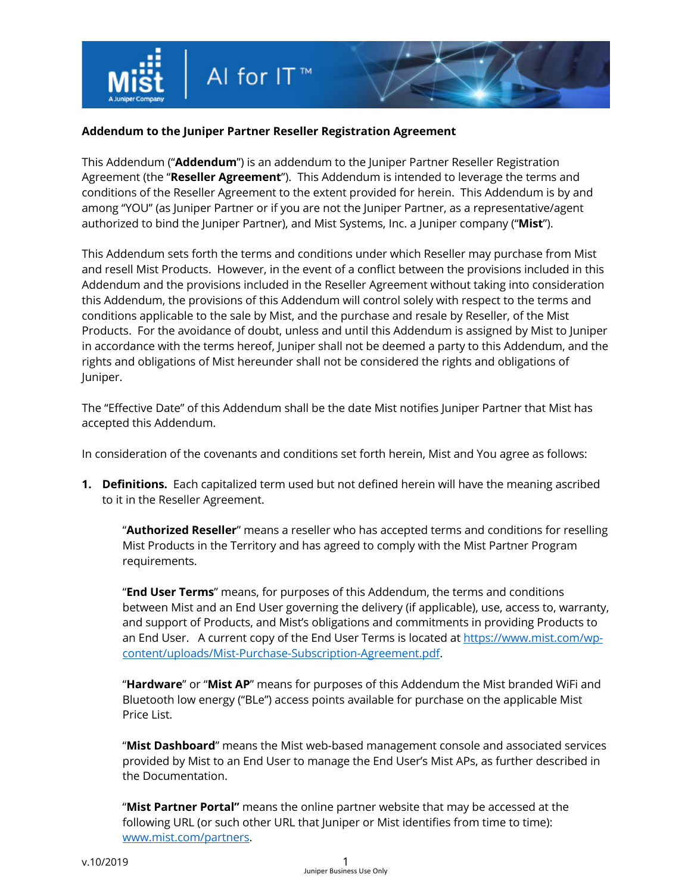

## **Addendum to the Juniper Partner Reseller Registration Agreement**

This Addendum ("**Addendum**") is an addendum to the Juniper Partner Reseller Registration Agreement (the "**Reseller Agreement**"). This Addendum is intended to leverage the terms and conditions of the Reseller Agreement to the extent provided for herein. This Addendum is by and among "YOU" (as Juniper Partner or if you are not the Juniper Partner, as a representative/agent authorized to bind the Juniper Partner), and Mist Systems, Inc. a Juniper company ("**Mist**").

This Addendum sets forth the terms and conditions under which Reseller may purchase from Mist and resell Mist Products. However, in the event of a conflict between the provisions included in this Addendum and the provisions included in the Reseller Agreement without taking into consideration this Addendum, the provisions of this Addendum will control solely with respect to the terms and conditions applicable to the sale by Mist, and the purchase and resale by Reseller, of the Mist Products. For the avoidance of doubt, unless and until this Addendum is assigned by Mist to Juniper in accordance with the terms hereof, Juniper shall not be deemed a party to this Addendum, and the rights and obligations of Mist hereunder shall not be considered the rights and obligations of Juniper.

The "Effective Date" of this Addendum shall be the date Mist notifies Juniper Partner that Mist has accepted this Addendum.

In consideration of the covenants and conditions set forth herein, Mist and You agree as follows:

**1. Definitions.** Each capitalized term used but not defined herein will have the meaning ascribed to it in the Reseller Agreement.

"**Authorized Reseller**" means a reseller who has accepted terms and conditions for reselling Mist Products in the Territory and has agreed to comply with the Mist Partner Program requirements.

"**End User Terms**" means, for purposes of this Addendum, the terms and conditions between Mist and an End User governing the delivery (if applicable), use, access to, warranty, and support of Products, and Mist's obligations and commitments in providing Products to an End User. A current copy of the End User Terms is located at https://www.mist.com/wpcontent/uploads/Mist-Purchase-Subscription-Agreement.pdf.

"**Hardware**" or "**Mist AP**" means for purposes of this Addendum the Mist branded WiFi and Bluetooth low energy ("BLe") access points available for purchase on the applicable Mist Price List.

"**Mist Dashboard**" means the Mist web-based management console and associated services provided by Mist to an End User to manage the End User's Mist APs, as further described in the Documentation.

"**Mist Partner Portal"** means the online partner website that may be accessed at the following URL (or such other URL that Juniper or Mist identifies from time to time): www.mist.com/partners.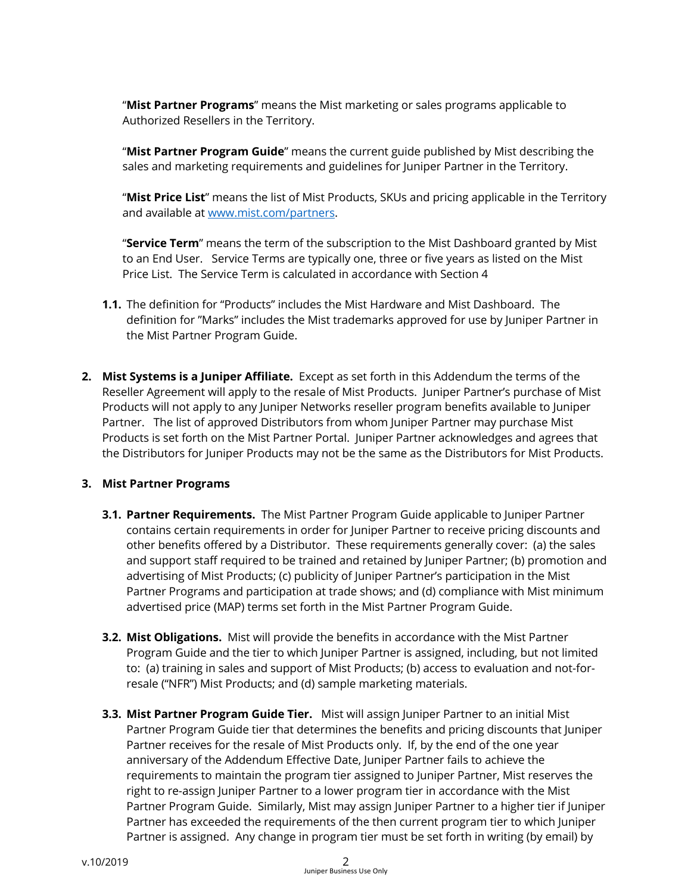"**Mist Partner Programs**" means the Mist marketing or sales programs applicable to Authorized Resellers in the Territory.

"**Mist Partner Program Guide**" means the current guide published by Mist describing the sales and marketing requirements and guidelines for Juniper Partner in the Territory.

"**Mist Price List**" means the list of Mist Products, SKUs and pricing applicable in the Territory and available at www.mist.com/partners.

"**Service Term**" means the term of the subscription to the Mist Dashboard granted by Mist to an End User. Service Terms are typically one, three or five years as listed on the Mist Price List. The Service Term is calculated in accordance with Section 4

- **1.1.** The definition for "Products" includes the Mist Hardware and Mist Dashboard. The definition for "Marks" includes the Mist trademarks approved for use by Juniper Partner in the Mist Partner Program Guide.
- **2. Mist Systems is a Juniper Affiliate.** Except as set forth in this Addendum the terms of the Reseller Agreement will apply to the resale of Mist Products. Juniper Partner's purchase of Mist Products will not apply to any Juniper Networks reseller program benefits available to Juniper Partner. The list of approved Distributors from whom Juniper Partner may purchase Mist Products is set forth on the Mist Partner Portal. Juniper Partner acknowledges and agrees that the Distributors for Juniper Products may not be the same as the Distributors for Mist Products.

## **3. Mist Partner Programs**

- **3.1. Partner Requirements.** The Mist Partner Program Guide applicable to Juniper Partner contains certain requirements in order for Juniper Partner to receive pricing discounts and other benefits offered by a Distributor. These requirements generally cover: (a) the sales and support staff required to be trained and retained by Juniper Partner; (b) promotion and advertising of Mist Products; (c) publicity of Juniper Partner's participation in the Mist Partner Programs and participation at trade shows; and (d) compliance with Mist minimum advertised price (MAP) terms set forth in the Mist Partner Program Guide.
- **3.2. Mist Obligations.** Mist will provide the benefits in accordance with the Mist Partner Program Guide and the tier to which Juniper Partner is assigned, including, but not limited to: (a) training in sales and support of Mist Products; (b) access to evaluation and not-forresale ("NFR") Mist Products; and (d) sample marketing materials.
- **3.3. Mist Partner Program Guide Tier.** Mist will assign Juniper Partner to an initial Mist Partner Program Guide tier that determines the benefits and pricing discounts that Juniper Partner receives for the resale of Mist Products only. If, by the end of the one year anniversary of the Addendum Effective Date, Juniper Partner fails to achieve the requirements to maintain the program tier assigned to Juniper Partner, Mist reserves the right to re-assign Juniper Partner to a lower program tier in accordance with the Mist Partner Program Guide. Similarly, Mist may assign Juniper Partner to a higher tier if Juniper Partner has exceeded the requirements of the then current program tier to which Juniper Partner is assigned. Any change in program tier must be set forth in writing (by email) by